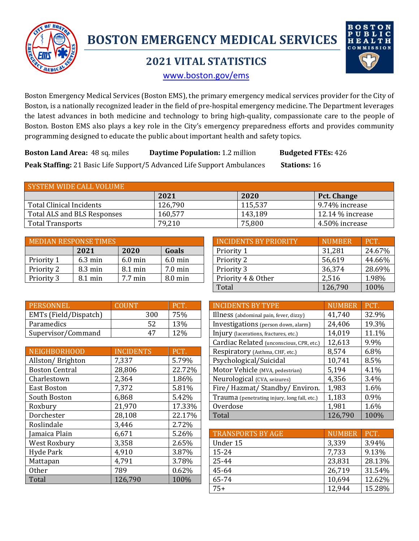

# **BOSTON EMERGENCY MEDICAL SERVICES**

# **2021 VITAL STATISTICS**



www.boston.gov/ems

Boston Emergency Medical Services (Boston EMS), the primary emergency medical services provider for the City of Boston, is a nationally recognized leader in the field of pre-hospital emergency medicine. The Department leverages the latest advances in both medicine and technology to bring high-quality, compassionate care to the people of Boston. Boston EMS also plays a key role in the City's emergency preparedness efforts and provides community programming designed to educate the public about important health and safety topics.

**Boston Land Area:** 48 sq. miles **Daytime Population:** 1.2 million **Budgeted FTEs:** 426 **Peak Staffing:** 21 Basic Life Support/5 Advanced Life Support Ambulances Stations: 16

| SYSTEM WIDE CALL VOLUME     |         |         |                    |  |  |  |
|-----------------------------|---------|---------|--------------------|--|--|--|
|                             | 2021    | 2020    | Pct. Change        |  |  |  |
| Total Clinical Incidents    | 126,790 | 115,537 | 9.74% increase     |  |  |  |
| Total ALS and BLS Responses | 160,577 | 143,189 | $12.14\%$ increase |  |  |  |
| <b>Total Transports</b>     | 79,210  | 75,800  | 4.50% increase     |  |  |  |

|            | <b>MEDIAN RESPONSE TIMES</b> |           |                   | INCIDENTS BY PRIORITY | <b>NUMBER</b> |  |
|------------|------------------------------|-----------|-------------------|-----------------------|---------------|--|
|            | 2021                         | 2020      | Goals             | Priority 1            | 31,281        |  |
| Priority 1 | $6.3 \text{ min}$            | $6.0$ min | $6.0 \text{ min}$ | Priority 2            | 56,619        |  |
| Priority 2 | $8.3 \text{ min}$            | 8.1 min   | $7.0 \text{ min}$ | Priority 3            | 36,374        |  |
| Priority 3 | $8.1 \text{ min}$            | 7.7 min   | $8.0 \text{ min}$ | Priority 4 & Other    | 2,516         |  |

| MEDIAN RESPONSE TIMES |                   | INCIDENTS BY PRIORITY. | <b>NUMBER</b>     | PCT.               |         |        |
|-----------------------|-------------------|------------------------|-------------------|--------------------|---------|--------|
|                       | 2021              | 2020                   | Goals             | Priority 1         | 31,281  | 24.67% |
| Priority 1            | $6.3 \text{ min}$ | $6.0 \text{ min}$      | $6.0$ min         | Priority 2         | 56,619  | 44.66% |
| Priority 2            | $8.3 \text{ min}$ | $8.1 \text{ min}$      | $7.0 \text{ min}$ | Priority 3         | 36,374  | 28.69% |
| Priority 3            | $8.1 \text{ min}$ | $7.7 \text{ min}$      | 8.0 min           | Priority 4 & Other | 2,516   | 1.98%  |
|                       |                   |                        |                   | Total              | 126,790 | 100%   |

| <b>PERSONNEL</b>      | COHNT |            |
|-----------------------|-------|------------|
| EMTs (Field/Dispatch) | 300   | 75%        |
| Paramedics            |       | <b>13%</b> |
| Supervisor/Command    | 47    |            |

|                       |                  |        |                                              |               | $\cdot$           |
|-----------------------|------------------|--------|----------------------------------------------|---------------|-------------------|
| NEIGHBORHOOD          | <b>INCIDENTS</b> | PCT.   | Respiratory (Asthma, CHF, etc.)              | 8,574         | 6.8%              |
| Allston/Brighton      | 7,337            | 5.79%  | Psychological/Suicidal                       | 10,741        | 8.5%              |
| <b>Boston Central</b> | 28,806           | 22.72% | Motor Vehicle (MVA, pedestrian)              | 5,194         | 4.1%              |
| Charlestown           | 2,364            | 1.86%  | Neurological (CVA, seizures)                 | 4,356         | 3.4%              |
| <b>East Boston</b>    | 7,372            | 5.81%  | Fire/Hazmat/Standby/Environ.                 | 1,983         | 1.6%              |
| South Boston          | 6,868            | 5.42%  | Trauma (penetrating injury, long fall, etc.) | 1,183         | 0.9%              |
| Roxbury               | 21,970           | 17.33% | Overdose                                     | 1,981         | 1.6%              |
| Dorchester            | 28,108           | 22.17% | Total                                        | 126,790       | 100%              |
| Roslindale            | 3,446            | 2.72%  |                                              |               |                   |
| Jamaica Plain         | 6,671            | 5.26%  | <b>TRANSPORTS BY AGE</b>                     | <b>NUMBER</b> | PCT.              |
| West Roxbury          | 3,358            | 2.65%  | Under 15                                     | 3,339         | 3.94 <sup>0</sup> |
| Hyde Park             | 4,910            | 3.87%  | 15-24                                        | 7,733         | 9.13 <sup>0</sup> |
| Mattapan              | 4,791            | 3.78%  | 25-44                                        | 23,831        | 28.13             |
| Other                 | 789              | 0.62%  | 45-64                                        | 26,719        | 31.54             |
| Total                 | 126,790          | 100%   | 65-74                                        | 10,694        | 12.62             |
|                       |                  |        | $- -$                                        | 10011         | $1 - 2$           |

| <b>PERSONNEL</b>      | <b>COUNT</b>     | PCT.   | <b>INCIDENTS BY TYPE</b>                     | <b>NUMBER</b> | PCT.  |
|-----------------------|------------------|--------|----------------------------------------------|---------------|-------|
| EMTs (Field/Dispatch) | 300              | 75%    | Illness (abdominal pain, fever, dizzy)       | 41,740        | 32.9% |
| Paramedics            | 52               | 13%    | Investigations (person down, alarm)          | 24,406        | 19.3% |
| Supervisor/Command    | 47               | 12%    | Injury (lacerations, fractures, etc.)        | 14,019        | 11.1% |
|                       |                  |        | Cardiac Related (unconscious, CPR, etc.)     | 12,613        | 9.9%  |
| <b>NEIGHBORHOOD</b>   | <b>INCIDENTS</b> | PCT.   | Respiratory (Asthma, CHF, etc.)              | 8,574         | 6.8%  |
| Allston/Brighton      | 7,337            | 5.79%  | Psychological/Suicidal                       | 10,741        | 8.5%  |
| <b>Boston Central</b> | 28,806           | 22.72% | Motor Vehicle (MVA, pedestrian)              | 5,194         | 4.1%  |
| Charlestown           | 2,364            | 1.86%  | Neurological (CVA, seizures)                 | 4,356         | 3.4%  |
| East Boston           | 7,372            | 5.81%  | Fire/Hazmat/Standby/Environ.                 | 1,983         | 1.6%  |
| South Boston          | 6,868            | 5.42%  | Trauma (penetrating injury, long fall, etc.) | 1,183         | 0.9%  |
| Roxbury               | 21,970           | 17.33% | Overdose                                     | 1,981         | 1.6%  |
| Dorchester            | 28,108           | 22.17% | Total                                        | 126,790       | 100%  |
|                       |                  |        |                                              |               |       |

| 6,671   | 5.26% | <b>TRANSPORTS BY AGE</b> | <b>NUMBER</b> | PCT.   |
|---------|-------|--------------------------|---------------|--------|
| 3,358   | 2.65% | Under 15                 | 3,339         | 3.94%  |
| 4,910   | 3.87% | 15-24                    | 7,733         | 9.13%  |
| 4,791   | 3.78% | 25-44                    | 23,831        | 28.13% |
| 789     | 0.62% | 45-64                    | 26,719        | 31.54% |
| 126,790 | 100%  | 65-74                    | 10,694        | 12.62% |
|         |       | $75+$                    | 12,944        | 15.28% |
|         |       |                          |               |        |